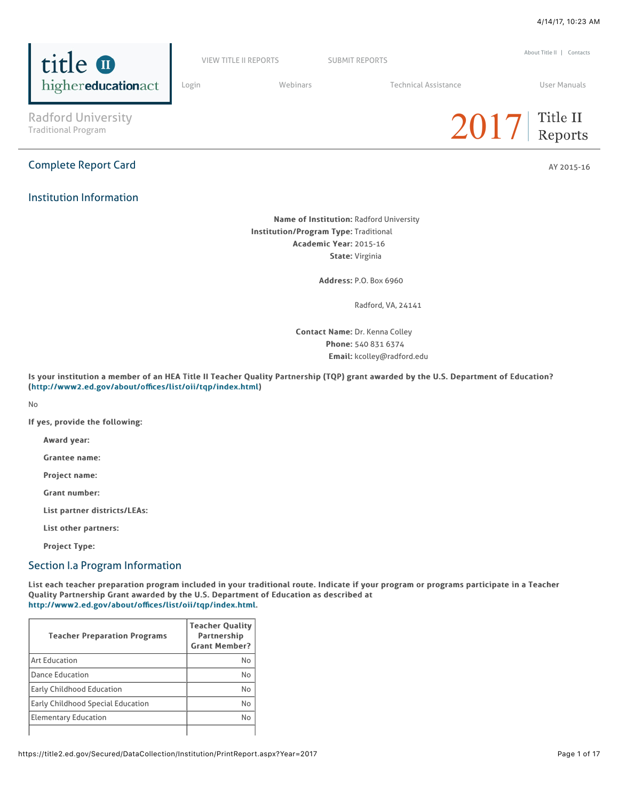

Complete Report Card AY 2015-16 and AY 2015-16 and AY 2015-16 and AY 2015-16 and AY 2015-16 and AY 2015-16 and

Radford University

highereducationact

title **O** 

# Institution Information



[About Title II](https://title2.ed.gov/Public/About.aspx) | [Contacts](https://title2.ed.gov/Public/Contacts.aspx)

Name of Institution: Radford University Institution/Program Type: Traditional Academic Year: 2015-16 State: Virginia

Address: Address:P.O. Box 6960

Radford, VA, 24141

Contact Name: Dr. Kenna Colley Phone: 540 831 6374 Email: kcolley@radford.edu

Is your institution a member of an HEA Title II Teacher Quality Partnership (TQP) grant awarded by the U.S. Department of Education? ([http://www2.ed.gov/about/o](http://www2.ed.gov/about/offices/list/oii/tqp/index.html)ffices/list/oii/tqp/index.html)

[VIEW TITLE II REPORTS](https://title2.ed.gov/Public/Home.aspx) [SUBMIT REPORTS](https://title2.ed.gov/Public/Login.aspx)

No

If yes, provide the following:

Award year:

Grantee name:

Project name:

Grant number:

List partner districts/LEAs:

List other partners:

Project Type:

### Section I.a Program Information

List each teacher preparation program included in your traditional route. Indicate if your program or programs participate in a Teacher Quality Partnership Grant awarded by the U.S. Department of Education as described at [http://www2.ed.gov/about/o](http://www2.ed.gov/about/offices/list/oii/tqp/index.html)ffices/list/oii/tqp/index.html.

| <b>Teacher Preparation Programs</b>      | <b>Teacher Quality</b><br><b>Partnership</b><br><b>Grant Member?</b> |
|------------------------------------------|----------------------------------------------------------------------|
| <b>Art Education</b>                     | No                                                                   |
| <b>Dance Education</b>                   | No                                                                   |
| <b>Early Childhood Education</b>         | No                                                                   |
| <b>Early Childhood Special Education</b> | N <sub>0</sub>                                                       |
| <b>Elementary Education</b>              | No                                                                   |
|                                          |                                                                      |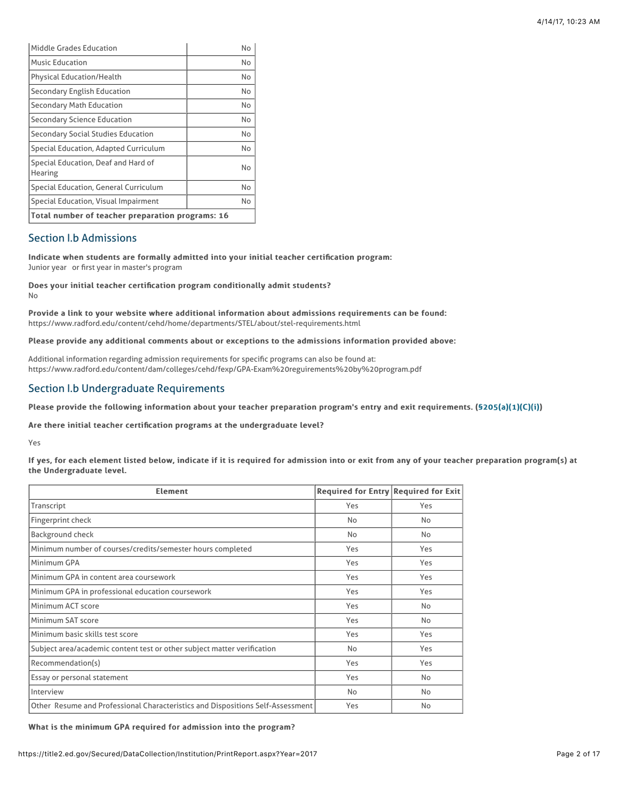| Middle Grades Education                          | No |  |
|--------------------------------------------------|----|--|
| <b>Music Education</b>                           | No |  |
| <b>Physical Education/Health</b>                 | No |  |
| <b>Secondary English Education</b>               | No |  |
| <b>Secondary Math Education</b>                  | No |  |
| <b>Secondary Science Education</b>               | No |  |
| Secondary Social Studies Education               | No |  |
| Special Education, Adapted Curriculum            | No |  |
| Special Education, Deaf and Hard of<br>Hearing   | No |  |
| Special Education, General Curriculum            | No |  |
| Special Education, Visual Impairment             | No |  |
| Total number of teacher preparation programs: 16 |    |  |

## Section I.b Admissions

Indicate when students are formally admitted into your initial teacher certification program: Junior year or first year in master's program

Does your initial teacher certification program conditionally admit students? No

Provide a link to your website where additional information about admissions requirements can be found: https://www.radford.edu/content/cehd/home/departments/STEL/about/stel-requirements.html

Please provide any additional comments about or exceptions to the admissions information provided above:

Additional information regarding admission requirements for specific programs can also be found at: https://www.radford.edu/content/dam/colleges/cehd/fexp/GPA-Exam%20reguirements%20by%20program.pdf

# Section I.b Undergraduate Requirements

Please provide the following information about your teacher preparation program's entry and exit requirements. (\$205(a)(1)(C)(i))

Are there initial teacher certification programs at the undergraduate level?

Yes

If yes, for each element listed below, indicate if it is required for admission into or exit from any of your teacher preparation program(s) at the Undergraduate level.

| <b>Element</b>                                                                 | Required for Entry Required for Exit |           |
|--------------------------------------------------------------------------------|--------------------------------------|-----------|
| Transcript                                                                     | Yes                                  | Yes       |
| Fingerprint check                                                              | No                                   | <b>No</b> |
| Background check                                                               | No                                   | <b>No</b> |
| Minimum number of courses/credits/semester hours completed                     | Yes                                  | Yes       |
| Minimum GPA                                                                    | Yes                                  | Yes       |
| Minimum GPA in content area coursework                                         | Yes                                  | Yes       |
| Minimum GPA in professional education coursework                               | Yes                                  | Yes       |
| Minimum ACT score                                                              | Yes                                  | <b>No</b> |
| Minimum SAT score                                                              | Yes                                  | <b>No</b> |
| Minimum basic skills test score                                                | Yes                                  | Yes       |
| Subject area/academic content test or other subject matter verification        | No                                   | Yes       |
| Recommendation(s)                                                              | Yes                                  | Yes       |
| Essay or personal statement                                                    | Yes                                  | No        |
| Interview                                                                      | No                                   | No        |
| Other Resume and Professional Characteristics and Dispositions Self-Assessment | Yes                                  | <b>No</b> |

What is the minimum GPA required for admission into the program?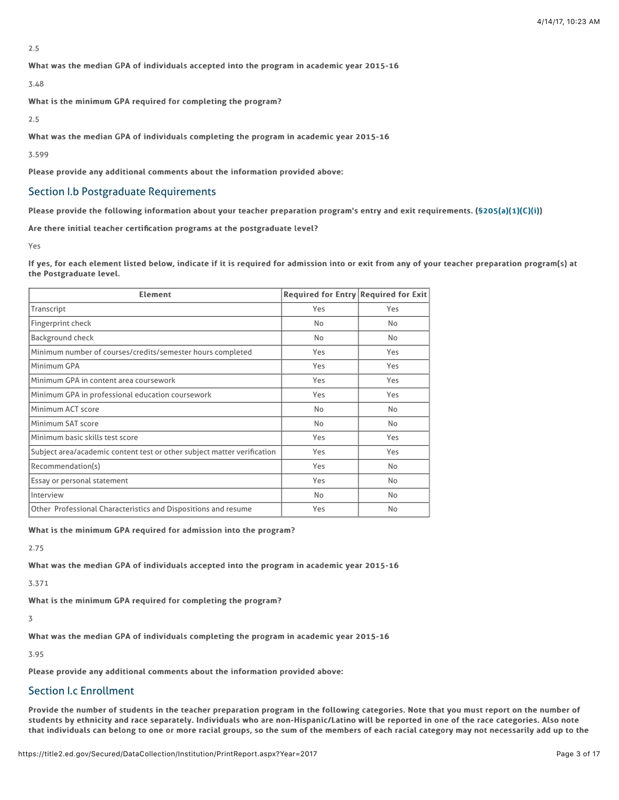2.5

What was the median GPA of individuals accepted into the program in academic year 2015-16

3.48

What is the minimum GPA required for completing the program?

2.5

What was the median GPA of individuals completing the program in academic year 2015-16

3.599

Please provide any additional comments about the information provided above:

# Section I.b Postgraduate Requirements

Please provide the following information about your teacher preparation program's entry and exit requirements. ([§205\(a\)\(1\)\(C\)\(i\)\)](http://frwebgate.access.gpo.gov/cgi-bin/getdoc.cgi?dbname=110_cong_public_laws&docid=f:publ315.110.pdf)

Are there initial teacher certification programs at the postgraduate level?

Yes

If yes, for each element listed below, indicate if it is required for admission into or exit from any of your teacher preparation program(s) at the Postgraduate level.

| <b>Element</b>                                                          | Required for Entry Required for Exit |           |
|-------------------------------------------------------------------------|--------------------------------------|-----------|
| Transcript                                                              | Yes                                  | Yes       |
| Fingerprint check                                                       | No                                   | No        |
| Background check                                                        | No                                   | No        |
| Minimum number of courses/credits/semester hours completed              | Yes                                  | Yes       |
| Minimum GPA                                                             | Yes                                  | Yes       |
| Minimum GPA in content area coursework                                  | Yes                                  | Yes       |
| Minimum GPA in professional education coursework                        | Yes                                  | Yes       |
| Minimum ACT score                                                       | No                                   | <b>No</b> |
| Minimum SAT score                                                       | No                                   | No        |
| Minimum basic skills test score                                         | Yes                                  | Yes       |
| Subject area/academic content test or other subject matter verification | Yes                                  | Yes       |
| Recommendation(s)                                                       | Yes                                  | No.       |
| Essay or personal statement                                             | Yes                                  | No.       |
| Interview                                                               | No                                   | No.       |
| Other Professional Characteristics and Dispositions and resume          | Yes                                  | No        |

What is the minimum GPA required for admission into the program?

2.75

What was the median GPA of individuals accepted into the program in academic year 2015-16

3.371

What is the minimum GPA required for completing the program?

3

What was the median GPA of individuals completing the program in academic year 2015-16

3.95

Please provide any additional comments about the information provided above:

# Section I.c Enrollment

Provide the number of students in the teacher preparation program in the following categories. Note that you must report on the number of students by ethnicity and race separately. Individuals who are non-Hispanic/Latino will be reported in one of the race categories. Also note that individuals can belong to one or more racial groups, so the sum of the members of each racial category may not necessarily add up to the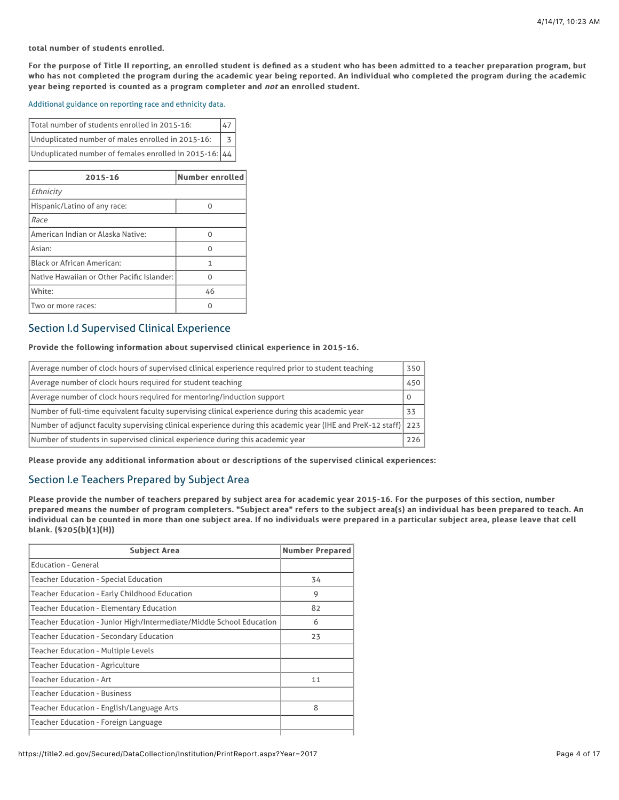### total number of students enrolled.

For the purpose of Title II reporting, an enrolled student is defined as a student who has been admitted to a teacher preparation program, but who has not completed the program during the academic year being reported. An individual who completed the program during the academic year being reported is counted as a program completer and not an enrolled student.

### [Additional guidance on reporting race and ethnicity data.](https://title2.ed.gov/Public/TA/Race_ethnicity.pdf)

| Total number of students enrolled in 2015-16:          |  |
|--------------------------------------------------------|--|
| Unduplicated number of males enrolled in 2015-16:      |  |
| Unduplicated number of females enrolled in 2015-16: 44 |  |

| 2015-16                                    | Number enrolled |
|--------------------------------------------|-----------------|
| Ethnicity                                  |                 |
| Hispanic/Latino of any race:               |                 |
| Race                                       |                 |
| American Indian or Alaska Native:          | ი               |
| Asian:                                     | ი               |
| <b>Black or African American:</b>          | 1               |
| Native Hawaiian or Other Pacific Islander: | n               |
| White:                                     | 46              |
| Two or more races:                         |                 |

# Section I.d Supervised Clinical Experience

### Provide the following information about supervised clinical experience in 2015-16.

| Average number of clock hours of supervised clinical experience required prior to student teaching              | 350 |
|-----------------------------------------------------------------------------------------------------------------|-----|
| Average number of clock hours required for student teaching                                                     | 450 |
| Average number of clock hours required for mentoring/induction support                                          |     |
| Number of full-time equivalent faculty supervising clinical experience during this academic year                |     |
| Number of adjunct faculty supervising clinical experience during this academic year (IHE and PreK-12 staff) 223 |     |
| Number of students in supervised clinical experience during this academic year                                  | 226 |

Please provide any additional information about or descriptions of the supervised clinical experiences:

### Section I.e Teachers Prepared by Subject Area

Please provide the number of teachers prepared by subject area for academic year 2015-16. For the purposes of this section, number prepared means the number of program completers. "Subject area" refers to the subject area(s) an individual has been prepared to teach. An individual can be counted in more than one subject area. If no individuals were prepared in a particular subject area, please leave that cell blank. (§205(b)(1)(H)) blank. (§205(b)(1)(H))

| <b>Subject Area</b>                                                  | <b>Number Prepared</b> |
|----------------------------------------------------------------------|------------------------|
| <b>Education - General</b>                                           |                        |
| <b>Teacher Education - Special Education</b>                         | 34                     |
| Teacher Education - Early Childhood Education                        | 9                      |
| <b>Teacher Education - Elementary Education</b>                      | 82                     |
| Teacher Education - Junior High/Intermediate/Middle School Education | 6                      |
| Teacher Education - Secondary Education                              | 23                     |
| <b>Teacher Education - Multiple Levels</b>                           |                        |
| Teacher Education - Agriculture                                      |                        |
| <b>Teacher Education - Art</b>                                       | 11                     |
| <b>Teacher Education - Business</b>                                  |                        |
| Teacher Education - English/Language Arts                            | 8                      |
| Teacher Education - Foreign Language                                 |                        |
|                                                                      |                        |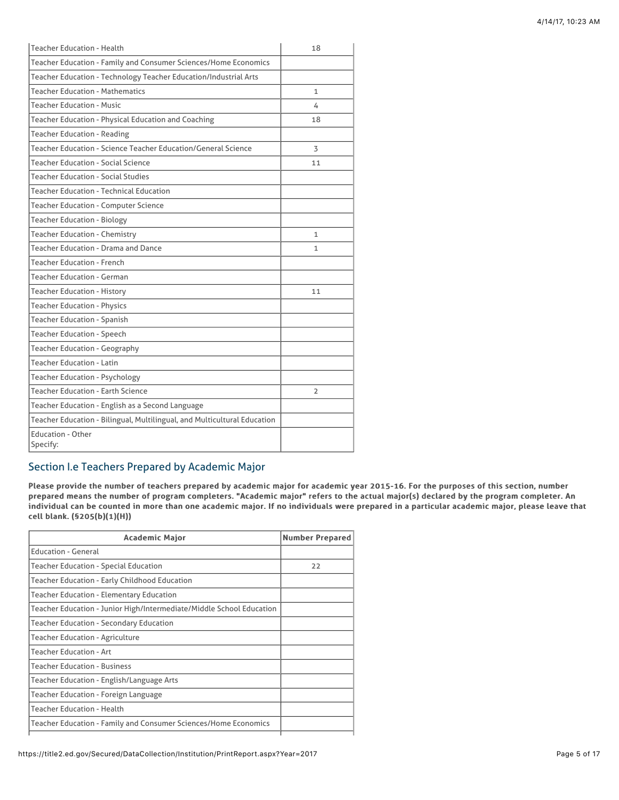| <b>Teacher Education - Health</b>                                        | 18                       |
|--------------------------------------------------------------------------|--------------------------|
| Teacher Education - Family and Consumer Sciences/Home Economics          |                          |
| Teacher Education - Technology Teacher Education/Industrial Arts         |                          |
| <b>Teacher Education - Mathematics</b>                                   | $\mathbf{1}$             |
| <b>Teacher Education - Music</b>                                         | 4                        |
| Teacher Education - Physical Education and Coaching                      | 18                       |
| <b>Teacher Education - Reading</b>                                       |                          |
| Teacher Education - Science Teacher Education/General Science            | 3                        |
| <b>Teacher Education - Social Science</b>                                | 11                       |
| <b>Teacher Education - Social Studies</b>                                |                          |
| <b>Teacher Education - Technical Education</b>                           |                          |
| <b>Teacher Education - Computer Science</b>                              |                          |
| <b>Teacher Education - Biology</b>                                       |                          |
| <b>Teacher Education - Chemistry</b>                                     | 1                        |
| <b>Teacher Education - Drama and Dance</b>                               | $\mathbf{1}$             |
| <b>Teacher Education - French</b>                                        |                          |
| <b>Teacher Education - German</b>                                        |                          |
| <b>Teacher Education - History</b>                                       | 11                       |
| <b>Teacher Education - Physics</b>                                       |                          |
| <b>Teacher Education - Spanish</b>                                       |                          |
| <b>Teacher Education - Speech</b>                                        |                          |
| <b>Teacher Education - Geography</b>                                     |                          |
| <b>Teacher Education - Latin</b>                                         |                          |
| <b>Teacher Education - Psychology</b>                                    |                          |
| <b>Teacher Education - Earth Science</b>                                 | $\overline{\phantom{a}}$ |
| Teacher Education - English as a Second Language                         |                          |
| Teacher Education - Bilingual, Multilingual, and Multicultural Education |                          |
| <b>Education - Other</b><br>Specify:                                     |                          |

# Section I.e Teachers Prepared by Academic Major

Please provide the number of teachers prepared by academic major for academic year 2015-16. For the purposes of this section, number prepared means the number of program completers. "Academic major" refers to the actual major(s) declared by the program completer. An individual can be counted in more than one academic major. If no individuals were prepared in a particular academic major, please leave that cell blank. (§205(b)(1)(H))

| <b>Academic Major</b>                                                | <b>Number Prepared</b> |
|----------------------------------------------------------------------|------------------------|
| <b>Education - General</b>                                           |                        |
| Teacher Education - Special Education                                | 22                     |
| Teacher Education - Early Childhood Education                        |                        |
| <b>Teacher Education - Elementary Education</b>                      |                        |
| Teacher Education - Junior High/Intermediate/Middle School Education |                        |
| Teacher Education - Secondary Education                              |                        |
| Teacher Education - Agriculture                                      |                        |
| <b>Teacher Education - Art</b>                                       |                        |
| <b>Teacher Education - Business</b>                                  |                        |
| Teacher Education - English/Language Arts                            |                        |
| Teacher Education - Foreign Language                                 |                        |
| <b>Teacher Education - Health</b>                                    |                        |
| Teacher Education - Family and Consumer Sciences/Home Economics      |                        |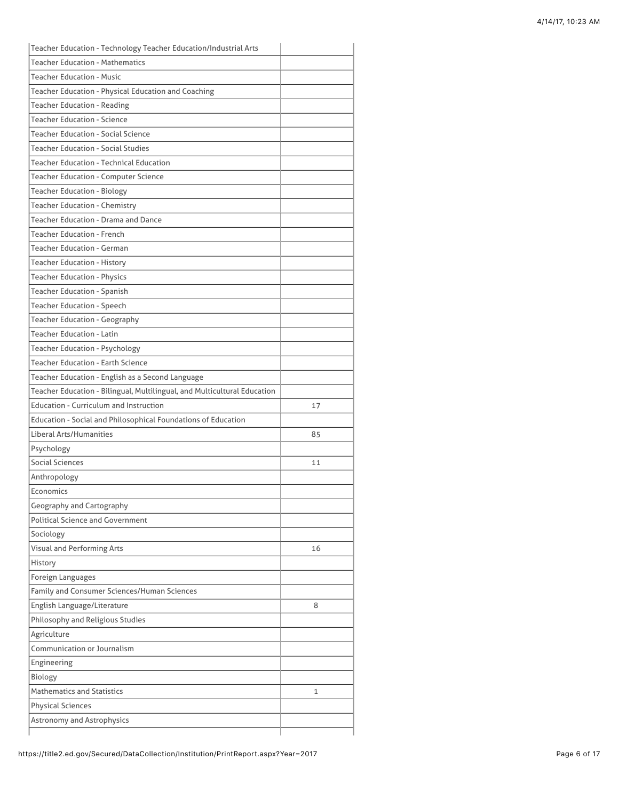| <b>Teacher Education - Spanish</b><br><b>Teacher Education - Speech</b><br><b>Teacher Education - Geography</b><br><b>Teacher Education - Latin</b><br><b>Teacher Education - Psychology</b><br><b>Teacher Education - Earth Science</b><br>Teacher Education - English as a Second Language<br>Teacher Education - Bilingual, Multilingual, and Multicultural Education<br><b>Education - Curriculum and Instruction</b><br>17<br>Education - Social and Philosophical Foundations of Education<br>Liberal Arts/Humanities<br>85<br>Psychology<br>Social Sciences<br>11<br>Anthropology<br>Economics<br>Geography and Cartography<br><b>Political Science and Government</b><br>Sociology<br>Visual and Performing Arts<br>16<br>Foreign Languages<br>8<br>1 | Teacher Education - Technology Teacher Education/Industrial Arts |  |
|---------------------------------------------------------------------------------------------------------------------------------------------------------------------------------------------------------------------------------------------------------------------------------------------------------------------------------------------------------------------------------------------------------------------------------------------------------------------------------------------------------------------------------------------------------------------------------------------------------------------------------------------------------------------------------------------------------------------------------------------------------------|------------------------------------------------------------------|--|
|                                                                                                                                                                                                                                                                                                                                                                                                                                                                                                                                                                                                                                                                                                                                                               | <b>Teacher Education - Mathematics</b>                           |  |
|                                                                                                                                                                                                                                                                                                                                                                                                                                                                                                                                                                                                                                                                                                                                                               | <b>Teacher Education - Music</b>                                 |  |
|                                                                                                                                                                                                                                                                                                                                                                                                                                                                                                                                                                                                                                                                                                                                                               | Teacher Education - Physical Education and Coaching              |  |
|                                                                                                                                                                                                                                                                                                                                                                                                                                                                                                                                                                                                                                                                                                                                                               | <b>Teacher Education - Reading</b>                               |  |
|                                                                                                                                                                                                                                                                                                                                                                                                                                                                                                                                                                                                                                                                                                                                                               | <b>Teacher Education - Science</b>                               |  |
|                                                                                                                                                                                                                                                                                                                                                                                                                                                                                                                                                                                                                                                                                                                                                               | <b>Teacher Education - Social Science</b>                        |  |
|                                                                                                                                                                                                                                                                                                                                                                                                                                                                                                                                                                                                                                                                                                                                                               | <b>Teacher Education - Social Studies</b>                        |  |
|                                                                                                                                                                                                                                                                                                                                                                                                                                                                                                                                                                                                                                                                                                                                                               | <b>Teacher Education - Technical Education</b>                   |  |
|                                                                                                                                                                                                                                                                                                                                                                                                                                                                                                                                                                                                                                                                                                                                                               | <b>Teacher Education - Computer Science</b>                      |  |
|                                                                                                                                                                                                                                                                                                                                                                                                                                                                                                                                                                                                                                                                                                                                                               | <b>Teacher Education - Biology</b>                               |  |
|                                                                                                                                                                                                                                                                                                                                                                                                                                                                                                                                                                                                                                                                                                                                                               | <b>Teacher Education - Chemistry</b>                             |  |
|                                                                                                                                                                                                                                                                                                                                                                                                                                                                                                                                                                                                                                                                                                                                                               | <b>Teacher Education - Drama and Dance</b>                       |  |
|                                                                                                                                                                                                                                                                                                                                                                                                                                                                                                                                                                                                                                                                                                                                                               | <b>Teacher Education - French</b>                                |  |
|                                                                                                                                                                                                                                                                                                                                                                                                                                                                                                                                                                                                                                                                                                                                                               | <b>Teacher Education - German</b>                                |  |
|                                                                                                                                                                                                                                                                                                                                                                                                                                                                                                                                                                                                                                                                                                                                                               | <b>Teacher Education - History</b>                               |  |
|                                                                                                                                                                                                                                                                                                                                                                                                                                                                                                                                                                                                                                                                                                                                                               | <b>Teacher Education - Physics</b>                               |  |
|                                                                                                                                                                                                                                                                                                                                                                                                                                                                                                                                                                                                                                                                                                                                                               |                                                                  |  |
|                                                                                                                                                                                                                                                                                                                                                                                                                                                                                                                                                                                                                                                                                                                                                               |                                                                  |  |
|                                                                                                                                                                                                                                                                                                                                                                                                                                                                                                                                                                                                                                                                                                                                                               |                                                                  |  |
|                                                                                                                                                                                                                                                                                                                                                                                                                                                                                                                                                                                                                                                                                                                                                               |                                                                  |  |
|                                                                                                                                                                                                                                                                                                                                                                                                                                                                                                                                                                                                                                                                                                                                                               |                                                                  |  |
|                                                                                                                                                                                                                                                                                                                                                                                                                                                                                                                                                                                                                                                                                                                                                               |                                                                  |  |
|                                                                                                                                                                                                                                                                                                                                                                                                                                                                                                                                                                                                                                                                                                                                                               |                                                                  |  |
|                                                                                                                                                                                                                                                                                                                                                                                                                                                                                                                                                                                                                                                                                                                                                               |                                                                  |  |
|                                                                                                                                                                                                                                                                                                                                                                                                                                                                                                                                                                                                                                                                                                                                                               |                                                                  |  |
|                                                                                                                                                                                                                                                                                                                                                                                                                                                                                                                                                                                                                                                                                                                                                               |                                                                  |  |
|                                                                                                                                                                                                                                                                                                                                                                                                                                                                                                                                                                                                                                                                                                                                                               |                                                                  |  |
|                                                                                                                                                                                                                                                                                                                                                                                                                                                                                                                                                                                                                                                                                                                                                               |                                                                  |  |
|                                                                                                                                                                                                                                                                                                                                                                                                                                                                                                                                                                                                                                                                                                                                                               |                                                                  |  |
|                                                                                                                                                                                                                                                                                                                                                                                                                                                                                                                                                                                                                                                                                                                                                               |                                                                  |  |
|                                                                                                                                                                                                                                                                                                                                                                                                                                                                                                                                                                                                                                                                                                                                                               |                                                                  |  |
|                                                                                                                                                                                                                                                                                                                                                                                                                                                                                                                                                                                                                                                                                                                                                               |                                                                  |  |
|                                                                                                                                                                                                                                                                                                                                                                                                                                                                                                                                                                                                                                                                                                                                                               |                                                                  |  |
|                                                                                                                                                                                                                                                                                                                                                                                                                                                                                                                                                                                                                                                                                                                                                               |                                                                  |  |
|                                                                                                                                                                                                                                                                                                                                                                                                                                                                                                                                                                                                                                                                                                                                                               |                                                                  |  |
|                                                                                                                                                                                                                                                                                                                                                                                                                                                                                                                                                                                                                                                                                                                                                               |                                                                  |  |
|                                                                                                                                                                                                                                                                                                                                                                                                                                                                                                                                                                                                                                                                                                                                                               | History                                                          |  |
|                                                                                                                                                                                                                                                                                                                                                                                                                                                                                                                                                                                                                                                                                                                                                               |                                                                  |  |
|                                                                                                                                                                                                                                                                                                                                                                                                                                                                                                                                                                                                                                                                                                                                                               | Family and Consumer Sciences/Human Sciences                      |  |
|                                                                                                                                                                                                                                                                                                                                                                                                                                                                                                                                                                                                                                                                                                                                                               | English Language/Literature                                      |  |
|                                                                                                                                                                                                                                                                                                                                                                                                                                                                                                                                                                                                                                                                                                                                                               | Philosophy and Religious Studies                                 |  |
|                                                                                                                                                                                                                                                                                                                                                                                                                                                                                                                                                                                                                                                                                                                                                               | Agriculture                                                      |  |
|                                                                                                                                                                                                                                                                                                                                                                                                                                                                                                                                                                                                                                                                                                                                                               | Communication or Journalism                                      |  |
|                                                                                                                                                                                                                                                                                                                                                                                                                                                                                                                                                                                                                                                                                                                                                               | Engineering                                                      |  |
|                                                                                                                                                                                                                                                                                                                                                                                                                                                                                                                                                                                                                                                                                                                                                               | Biology                                                          |  |
|                                                                                                                                                                                                                                                                                                                                                                                                                                                                                                                                                                                                                                                                                                                                                               | <b>Mathematics and Statistics</b>                                |  |
|                                                                                                                                                                                                                                                                                                                                                                                                                                                                                                                                                                                                                                                                                                                                                               | <b>Physical Sciences</b>                                         |  |
|                                                                                                                                                                                                                                                                                                                                                                                                                                                                                                                                                                                                                                                                                                                                                               | <b>Astronomy and Astrophysics</b>                                |  |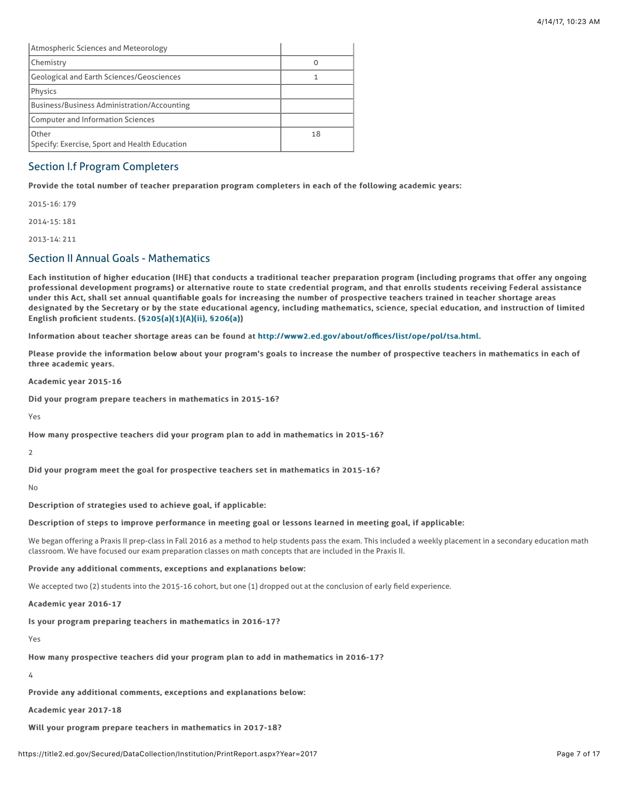| Atmospheric Sciences and Meteorology                   |    |
|--------------------------------------------------------|----|
| <b>Chemistry</b>                                       |    |
| <b>Geological and Earth Sciences/Geosciences</b>       |    |
| Physics                                                |    |
| <b>Business/Business Administration/Accounting</b>     |    |
| <b>Computer and Information Sciences</b>               |    |
| Other<br>Specify: Exercise, Sport and Health Education | 18 |

# Section I.f Program Completers

Provide the total number of teacher preparation program completers in each of the following academic years:

2015-16: 179

2014-15: 181

2013-14: 211

# Section II Annual Goals - Mathematics

Each institution of higher education (IHE) that conducts a traditional teacher preparation program (including programs that offer any ongoing professional development programs) or alternative route to state credential program, and that enrolls students receiving Federal assistance under this Act, shall set annual quantifiable goals for increasing the number of prospective teachers trained in teacher shortage areas designated by the Secretary or by the state educational agency, including mathematics, science, special education, and instruction of limited English proficient students.  $(§205(a)(1)(A)(ii), §206(a))$  $(§205(a)(1)(A)(ii), §206(a))$ 

Information about teacher shortage areas can be found at [http://www2.ed.gov/about/o](http://www2.ed.gov/about/offices/list/ope/pol/tsa.html)ffices/list/ope/pol/tsa.html.

Please provide the information below about your program's goals to increase the number of prospective teachers in mathematics in each of three academic years.

Academic year 2015-16

Did your program prepare teachers in mathematics in 2015-16?

Yes

How many prospective teachers did your program plan to add in mathematics in 2015-16?

2

Did your program meet the goal for prospective teachers set in mathematics in 2015-16?

 $N<sub>0</sub>$ 

Description of strategies used to achieve goal, if applicable:

### Description of steps to improve performance in meeting goal or lessons learned in meeting goal, if applicable:

We began offering a Praxis II prep-class in Fall 2016 as a method to help students pass the exam. This included a weekly placement in a secondary education math classroom. We have focused our exam preparation classes on math concepts that are included in the Praxis II.

Provide any additional comments, exceptions and explanations below:

We accepted two (2) students into the 2015-16 cohort, but one (1) dropped out at the conclusion of early field experience.

Academic year 2016-17

Is your program preparing teachers in mathematics in 2016-17?

Yes

How many prospective teachers did your program plan to add in mathematics in 2016-17?

4

Provide any additional comments, exceptions and explanations below:

Academic year 2017-18

Will your program prepare teachers in mathematics in 2017-18?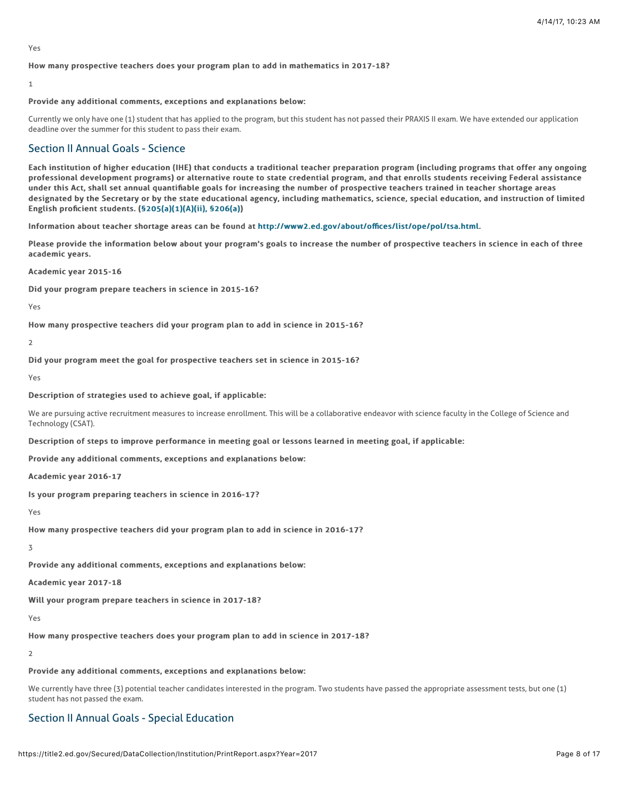Yes

#### How many prospective teachers does your program plan to add in mathematics in 2017-18?

#### 1

#### Provide any additional comments, exceptions and explanations below:

Currently we only have one (1) student that has applied to the program, but this student has not passed their PRAXIS II exam. We have extended our application deadline over the summer for this student to pass their exam.

### Section II Annual Goals - Science

Each institution of higher education (IHE) that conducts a traditional teacher preparation program (including programs that offer any ongoing professional development programs) or alternative route to state credential program, and that enrolls students receiving Federal assistance under this Act, shall set annual quantifiable goals for increasing the number of prospective teachers trained in teacher shortage areas designated by the Secretary or by the state educational agency, including mathematics, science, special education, and instruction of limited English proficient students. ([§205\(a\)\(1\)\(A\)\(ii\), §206\(a\)\)](http://frwebgate.access.gpo.gov/cgi-bin/getdoc.cgi?dbname=110_cong_public_laws&docid=f:publ315.110.pdf)

Information about teacher shortage areas can be found at [http://www2.ed.gov/about/o](http://www2.ed.gov/about/offices/list/ope/pol/tsa.html)ffices/list/ope/pol/tsa.html.

Please provide the information below about your program's goals to increase the number of prospective teachers in science in each of three academic years.

Academic year 2015-16

Did your program prepare teachers in science in 2015-16?

Yes

How many prospective teachers did your program plan to add in science in 2015-16?

 $\overline{2}$ 

Did your program meet the goal for prospective teachers set in science in 2015-16?

Yes

#### Description of strategies used to achieve goal, if applicable:

We are pursuing active recruitment measures to increase enrollment. This will be a collaborative endeavor with science faculty in the College of Science and Technology (CSAT).

Description of steps to improve performance in meeting goal or lessons learned in meeting goal, if applicable:

Provide any additional comments, exceptions and explanations below:

Academic year 2016-17

Is your program preparing teachers in science in 2016-17?

Yes

How many prospective teachers did your program plan to add in science in 2016-17?

#### 3

Provide any additional comments, exceptions and explanations below:

Academic year 2017-18

Will your program prepare teachers in science in 2017-18?

Yes

How many prospective teachers does your program plan to add in science in 2017-18?

 $\overline{\phantom{0}}$ 

#### Provide any additional comments, exceptions and explanations below:

We currently have three (3) potential teacher candidates interested in the program. Two students have passed the appropriate assessment tests, but one (1) student has not passed the exam.

### Section II Annual Goals - Special Education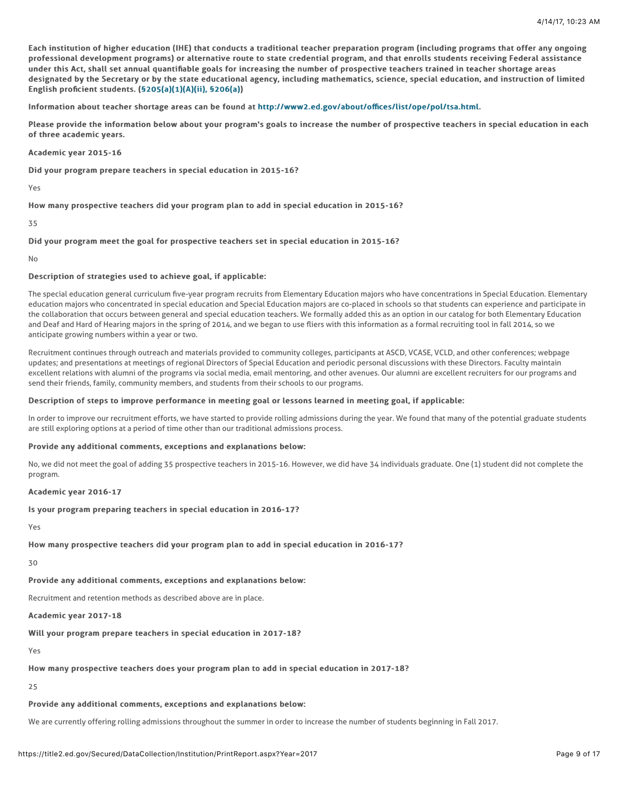Each institution of higher education (IHE) that conducts a traditional teacher preparation program (including programs that offer any ongoing professional development programs) or alternative route to state credential program, and that enrolls students receiving Federal assistance under this Act, shall set annual quantifiable goals for increasing the number of prospective teachers trained in teacher shortage areas designated by the Secretary or by the state educational agency, including mathematics, science, special education, and instruction of limited English proficient students.  $(§205(a)(1)(A)(ii)$ , §206(a))

Information about teacher shortage areas can be found at [http://www2.ed.gov/about/o](http://www2.ed.gov/about/offices/list/ope/pol/tsa.html)ffices/list/ope/pol/tsa.html.

Please provide the information below about your program's goals to increase the number of prospective teachers in special education in each of three academic years.

Academic year 2015-16

Did your program prepare teachers in special education in 2015-16?

Yes

How many prospective teachers did your program plan to add in special education in 2015-16?

#### 35

### Did your program meet the goal for prospective teachers set in special education in 2015-16?

No

#### Description of strategies used to achieve goal, if applicable:

The special education general curriculum five-year program recruits from Elementary Education majors who have concentrations in Special Education. Elementary education majors who concentrated in special education and Special Education majors are co-placed in schools so that students can experience and participate in the collaboration that occurs between general and special education teachers. We formally added this as an option in our catalog for both Elementary Education and Deaf and Hard of Hearing majors in the spring of 2014, and we began to use fliers with this information as a formal recruiting tool in fall 2014, so we anticipate growing numbers within a year or two.

Recruitment continues through outreach and materials provided to community colleges, participants at ASCD, VCASE, VCLD, and other conferences; webpage updates; and presentations at meetings of regional Directors of Special Education and periodic personal discussions with these Directors. Faculty maintain excellent relations with alumni of the programs via social media, email mentoring, and other avenues. Our alumni are excellent recruiters for our programs and send their friends, family, community members, and students from their schools to our programs.

#### Description of steps to improve performance in meeting goal or lessons learned in meeting goal, if applicable:

In order to improve our recruitment efforts, we have started to provide rolling admissions during the year. We found that many of the potential graduate students are still exploring options at a period of time other than our traditional admissions process.

#### Provide any additional comments, exceptions and explanations below:

No, we did not meet the goal of adding 35 prospective teachers in 2015-16. However, we did have 34 individuals graduate. One (1) student did not complete the program.

#### Academic year 2016-17

#### Is your program preparing teachers in special education in 2016-17?

Yes

### How many prospective teachers did your program plan to add in special education in 2016-17?

30

### Provide any additional comments, exceptions and explanations below:

Recruitment and retention methods as described above are in place.

Academic year 2017-18

Will your program prepare teachers in special education in 2017-18?

Yes

#### How many prospective teachers does your program plan to add in special education in 2017-18?

 $25$ 

### Provide any additional comments, exceptions and explanations below:

We are currently offering rolling admissions throughout the summer in order to increase the number of students beginning in Fall 2017.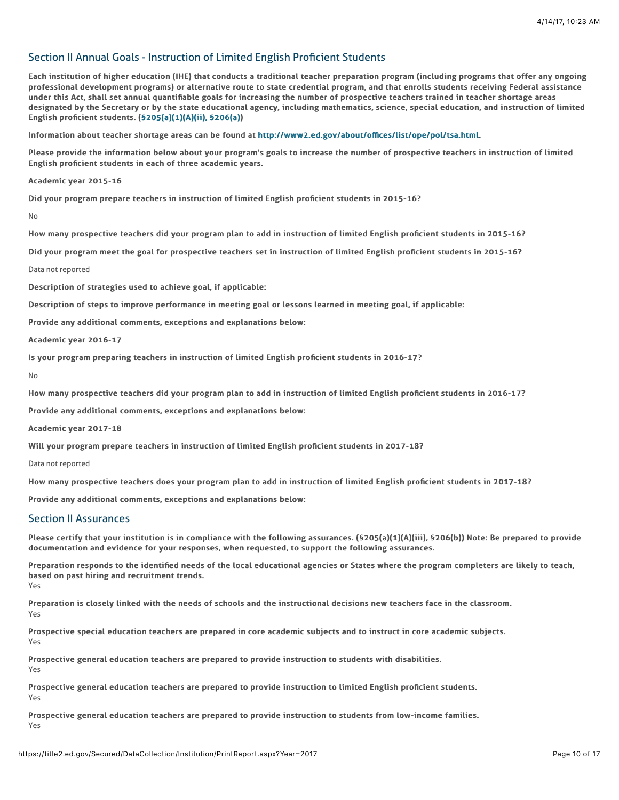# Section II Annual Goals - Instruction of Limited English Proficient Students

Each institution of higher education (IHE) that conducts a traditional teacher preparation program (including programs that offer any ongoing professional development programs) or alternative route to state credential program, and that enrolls students receiving Federal assistance under this Act, shall set annual quantifiable goals for increasing the number of prospective teachers trained in teacher shortage areas designated by the Secretary or by the state educational agency, including mathematics, science, special education, and instruction of limited English proficient students.  $(§205(a)(1)(A)(ii)$ , §206(a))

Information about teacher shortage areas can be found at [http://www2.ed.gov/about/o](http://www2.ed.gov/about/offices/list/ope/pol/tsa.html)ffices/list/ope/pol/tsa.html.

Please provide the information below about your program's goals to increase the number of prospective teachers in instruction of limited English proficient students in each of three academic years.

Academic year 2015-16

Did your program prepare teachers in instruction of limited English proficient students in 2015-16?

No

How many prospective teachers did your program plan to add in instruction of limited English proficient students in 2015-16?

Did your program meet the goal for prospective teachers set in instruction of limited English proficient students in 2015-16?

Data not reported

Description of strategies used to achieve goal, if applicable:

Description of steps to improve performance in meeting goal or lessons learned in meeting goal, if applicable:

Provide any additional comments, exceptions and explanations below:

Academic year 2016-17

Is your program preparing teachers in instruction of limited English proficient students in 2016-17?

No

How many prospective teachers did your program plan to add in instruction of limited English proficient students in 2016-17?

Provide any additional comments, exceptions and explanations below:

Academic year 2017-18

Will your program prepare teachers in instruction of limited English proficient students in 2017-18?

Data not reported

How many prospective teachers does your program plan to add in instruction of limited English proficient students in 2017-18?

Provide any additional comments, exceptions and explanations below:

### Section II Assurances

Please certify that your institution is in compliance with the following assurances. (§205(a)(1)(A)(iii), §206(b)) Note: Be prepared to provide documentation and evidence for your responses, when requested, to support the following assurances.

Preparation responds to the identified needs of the local educational agencies or States where the program completers are likely to teach, based on past hiring and recruitment trends. Yes

Preparation is closely linked with the needs of schools and the instructional decisions new teachers face in the classroom. Yes

Prospective special education teachers are prepared in core academic subjects and to instruct in core academic subjects. Yes

Prospective general education teachers are prepared to provide instruction to students with disabilities. Yes

Prospective general education teachers are prepared to provide instruction to limited English proficient students. Yes

Prospective general education teachers are prepared to provide instruction to students from low-income families. Yes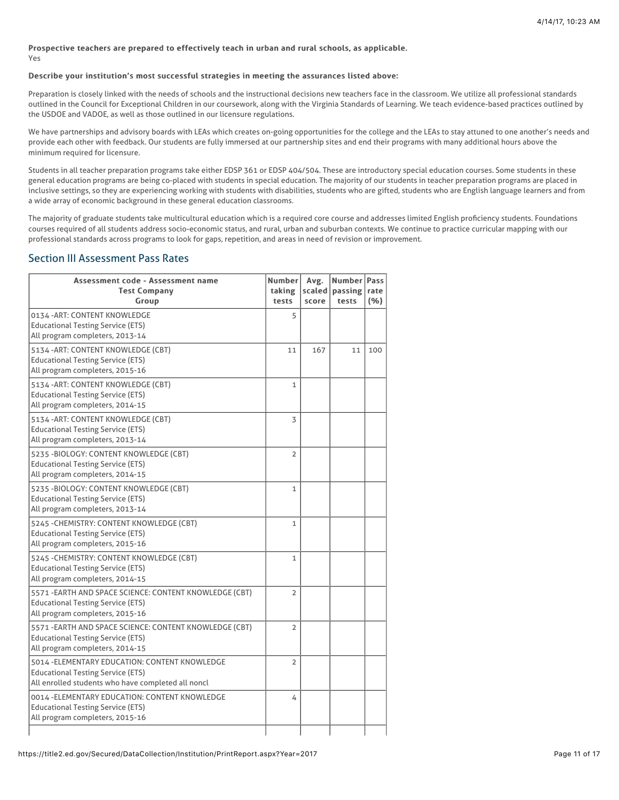#### Prospective teachers are prepared to effectively teach in urban and rural schools, as applicable. Yes

### Describe your institution's most successful strategies in meeting the assurances listed above:

Preparation is closely linked with the needs of schools and the instructional decisions new teachers face in the classroom. We utilize all professional standards outlined in the Council for Exceptional Children in our coursework, along with the Virginia Standards of Learning. We teach evidence-based practices outlined by the USDOE and VADOE, as well as those outlined in our licensure regulations.

We have partnerships and advisory boards with LEAs which creates on-going opportunities for the college and the LEAs to stay attuned to one another's needs and provide each other with feedback. Our students are fully immersed at our partnership sites and end their programs with many additional hours above the minimum required for licensure.

Students in all teacher preparation programs take either EDSP 361 or EDSP 404/504. These are introductory special education courses. Some students in these general education programs are being co-placed with students in special education. The majority of our students in teacher preparation programs are placed in inclusive settings, so they are experiencing working with students with disabilities, students who are gifted, students who are English language learners and from a wide array of economic background in these general education classrooms.

The majority of graduate students take multicultural education which is a required core course and addresses limited English proficiency students. Foundations courses required of all students address socio-economic status, and rural, urban and suburban contexts. We continue to practice curricular mapping with our professional standards across programs to look for gaps, repetition, and areas in need of revision or improvement.

## Section III Assessment Pass Rates

| Assessment code - Assessment name<br><b>Test Company</b><br>Group                                                                                | Number<br>taking<br>tests | Avg.<br>scaled  <br>score | Number <sup>1</sup><br>passing<br>tests | Pass<br>rate<br>(% ) |
|--------------------------------------------------------------------------------------------------------------------------------------------------|---------------------------|---------------------------|-----------------------------------------|----------------------|
| 0134 - ART: CONTENT KNOWLEDGE<br><b>Educational Testing Service (ETS)</b><br>All program completers, 2013-14                                     | 5                         |                           |                                         |                      |
| 5134 - ART: CONTENT KNOWLEDGE (CBT)<br><b>Educational Testing Service (ETS)</b><br>All program completers, 2015-16                               | 11                        | 167                       | 11                                      | 100                  |
| 5134 - ART: CONTENT KNOWLEDGE (CBT)<br><b>Educational Testing Service (ETS)</b><br>All program completers, 2014-15                               | $\mathbf{1}$              |                           |                                         |                      |
| 5134 - ART: CONTENT KNOWLEDGE (CBT)<br><b>Educational Testing Service (ETS)</b><br>All program completers, 2013-14                               | 3                         |                           |                                         |                      |
| 5235 -BIOLOGY: CONTENT KNOWLEDGE (CBT)<br><b>Educational Testing Service (ETS)</b><br>All program completers, 2014-15                            | $\overline{2}$            |                           |                                         |                      |
| 5235 -BIOLOGY: CONTENT KNOWLEDGE (CBT)<br><b>Educational Testing Service (ETS)</b><br>All program completers, 2013-14                            | 1                         |                           |                                         |                      |
| 5245 - CHEMISTRY: CONTENT KNOWLEDGE (CBT)<br><b>Educational Testing Service (ETS)</b><br>All program completers, 2015-16                         | $\mathbf{1}$              |                           |                                         |                      |
| 5245 - CHEMISTRY: CONTENT KNOWLEDGE (CBT)<br><b>Educational Testing Service (ETS)</b><br>All program completers, 2014-15                         | $\mathbf{1}$              |                           |                                         |                      |
| 5571 - EARTH AND SPACE SCIENCE: CONTENT KNOWLEDGE (CBT)<br><b>Educational Testing Service (ETS)</b><br>All program completers, 2015-16           | $\overline{2}$            |                           |                                         |                      |
| 5571 - EARTH AND SPACE SCIENCE: CONTENT KNOWLEDGE (CBT)<br><b>Educational Testing Service (ETS)</b><br>All program completers, 2014-15           | 2                         |                           |                                         |                      |
| 5014 - ELEMENTARY EDUCATION: CONTENT KNOWLEDGE<br><b>Educational Testing Service (ETS)</b><br>All enrolled students who have completed all noncl | 2                         |                           |                                         |                      |
| 0014 - ELEMENTARY EDUCATION: CONTENT KNOWLEDGE<br><b>Educational Testing Service (ETS)</b><br>All program completers, 2015-16                    | 4                         |                           |                                         |                      |
|                                                                                                                                                  |                           |                           |                                         |                      |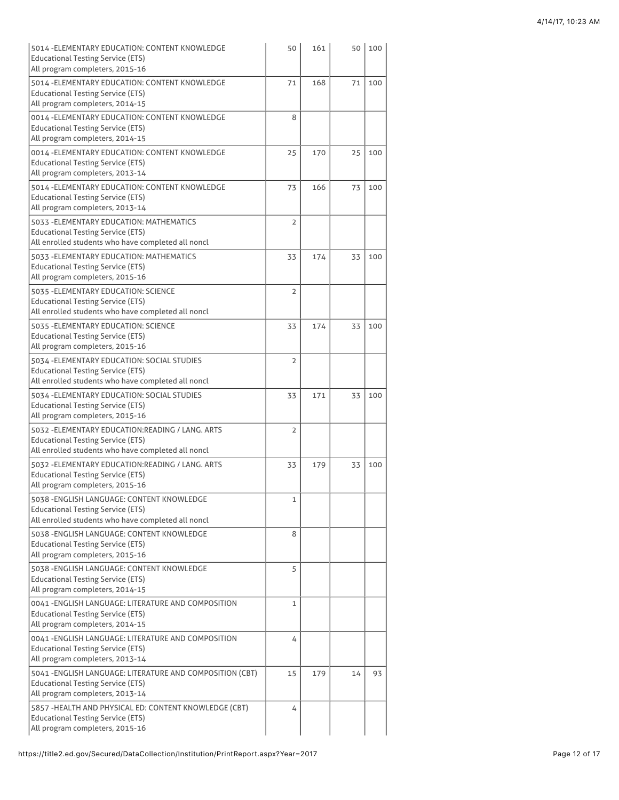| 5014 - ELEMENTARY EDUCATION: CONTENT KNOWLEDGE<br><b>Educational Testing Service (ETS)</b><br>All program completers, 2015-16                       | 50             | 161 | 50 | 100 |
|-----------------------------------------------------------------------------------------------------------------------------------------------------|----------------|-----|----|-----|
| 5014 - ELEMENTARY EDUCATION: CONTENT KNOWLEDGE<br><b>Educational Testing Service (ETS)</b><br>All program completers, 2014-15                       | 71             | 168 | 71 | 100 |
| 0014 - ELEMENTARY EDUCATION: CONTENT KNOWLEDGE<br><b>Educational Testing Service (ETS)</b><br>All program completers, 2014-15                       | 8              |     |    |     |
| 0014 - ELEMENTARY EDUCATION: CONTENT KNOWLEDGE<br><b>Educational Testing Service (ETS)</b><br>All program completers, 2013-14                       | 25             | 170 | 25 | 100 |
| 5014 - ELEMENTARY EDUCATION: CONTENT KNOWLEDGE<br><b>Educational Testing Service (ETS)</b><br>All program completers, 2013-14                       | 73             | 166 | 73 | 100 |
| 5033 - ELEMENTARY EDUCATION: MATHEMATICS<br><b>Educational Testing Service (ETS)</b><br>All enrolled students who have completed all noncl          | $\overline{2}$ |     |    |     |
| 5033 - ELEMENTARY EDUCATION: MATHEMATICS<br><b>Educational Testing Service (ETS)</b><br>All program completers, 2015-16                             | 33             | 174 | 33 | 100 |
| 5035 - ELEMENTARY EDUCATION: SCIENCE<br><b>Educational Testing Service (ETS)</b><br>All enrolled students who have completed all noncl              | 2              |     |    |     |
| 5035 - ELEMENTARY EDUCATION: SCIENCE<br><b>Educational Testing Service (ETS)</b><br>All program completers, 2015-16                                 | 33             | 174 | 33 | 100 |
| 5034 - ELEMENTARY EDUCATION: SOCIAL STUDIES<br><b>Educational Testing Service (ETS)</b><br>All enrolled students who have completed all noncl       | 2              |     |    |     |
| 5034 - ELEMENTARY EDUCATION: SOCIAL STUDIES<br><b>Educational Testing Service (ETS)</b><br>All program completers, 2015-16                          | 33             | 171 | 33 | 100 |
| 5032 - ELEMENTARY EDUCATION: READING / LANG. ARTS<br><b>Educational Testing Service (ETS)</b><br>All enrolled students who have completed all noncl | 2              |     |    |     |
| 5032 - ELEMENTARY EDUCATION: READING / LANG. ARTS<br><b>Educational Testing Service (ETS)</b><br>All program completers, 2015-16                    | 33             | 179 | 33 | 100 |
| 5038 - ENGLISH LANGUAGE: CONTENT KNOWLEDGE<br><b>Educational Testing Service (ETS)</b><br>All enrolled students who have completed all noncl        | 1              |     |    |     |
| 5038 - ENGLISH LANGUAGE: CONTENT KNOWLEDGE<br><b>Educational Testing Service (ETS)</b><br>All program completers, 2015-16                           | 8              |     |    |     |
| 5038 - ENGLISH LANGUAGE: CONTENT KNOWLEDGE<br><b>Educational Testing Service (ETS)</b><br>All program completers, 2014-15                           | 5              |     |    |     |
| 0041 - ENGLISH LANGUAGE: LITERATURE AND COMPOSITION<br><b>Educational Testing Service (ETS)</b><br>All program completers, 2014-15                  | 1              |     |    |     |
| 0041 - ENGLISH LANGUAGE: LITERATURE AND COMPOSITION<br><b>Educational Testing Service (ETS)</b><br>All program completers, 2013-14                  | 4              |     |    |     |
| 5041 - ENGLISH LANGUAGE: LITERATURE AND COMPOSITION (CBT)<br><b>Educational Testing Service (ETS)</b><br>All program completers, 2013-14            | 15             | 179 | 14 | 93  |
| 5857 - HEALTH AND PHYSICAL ED: CONTENT KNOWLEDGE (CBT)<br><b>Educational Testing Service (ETS)</b><br>All program completers, 2015-16               | 4              |     |    |     |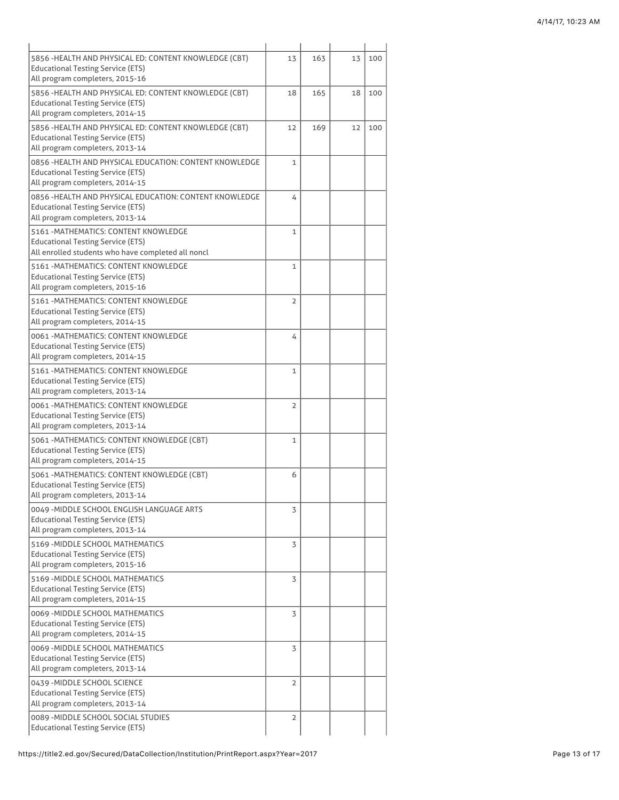| 5856 - HEALTH AND PHYSICAL ED: CONTENT KNOWLEDGE (CBT)<br><b>Educational Testing Service (ETS)</b><br>All program completers, 2015-16   | 13             | 163 | 13 | 100 |
|-----------------------------------------------------------------------------------------------------------------------------------------|----------------|-----|----|-----|
| 5856 - HEALTH AND PHYSICAL ED: CONTENT KNOWLEDGE (CBT)<br><b>Educational Testing Service (ETS)</b><br>All program completers, 2014-15   | 18             | 165 | 18 | 100 |
| 5856 - HEALTH AND PHYSICAL ED: CONTENT KNOWLEDGE (CBT)<br><b>Educational Testing Service (ETS)</b><br>All program completers, 2013-14   | 12             | 169 | 12 | 100 |
| 0856 - HEALTH AND PHYSICAL EDUCATION: CONTENT KNOWLEDGE<br><b>Educational Testing Service (ETS)</b><br>All program completers, 2014-15  | $\mathbf{1}$   |     |    |     |
| 0856 - HEALTH AND PHYSICAL EDUCATION: CONTENT KNOWLEDGE<br><b>Educational Testing Service (ETS)</b><br>All program completers, 2013-14  | 4              |     |    |     |
| 5161 - MATHEMATICS: CONTENT KNOWLEDGE<br><b>Educational Testing Service (ETS)</b><br>All enrolled students who have completed all noncl | $\mathbf{1}$   |     |    |     |
| <b>5161 - MATHEMATICS: CONTENT KNOWLEDGE</b><br><b>Educational Testing Service (ETS)</b><br>All program completers, 2015-16             | $\mathbf{1}$   |     |    |     |
| 5161 - MATHEMATICS: CONTENT KNOWLEDGE<br><b>Educational Testing Service (ETS)</b><br>All program completers, 2014-15                    | $\overline{2}$ |     |    |     |
| 0061 - MATHEMATICS: CONTENT KNOWLEDGE<br><b>Educational Testing Service (ETS)</b><br>All program completers, 2014-15                    | 4              |     |    |     |
| 5161 - MATHEMATICS: CONTENT KNOWLEDGE<br><b>Educational Testing Service (ETS)</b><br>All program completers, 2013-14                    | $\mathbf{1}$   |     |    |     |
| 0061 - MATHEMATICS: CONTENT KNOWLEDGE<br><b>Educational Testing Service (ETS)</b><br>All program completers, 2013-14                    | 2              |     |    |     |
| 5061 - MATHEMATICS: CONTENT KNOWLEDGE (CBT)<br><b>Educational Testing Service (ETS)</b><br>All program completers, 2014-15              | $\mathbf{1}$   |     |    |     |
| 5061 - MATHEMATICS: CONTENT KNOWLEDGE (CBT)<br><b>Educational Testing Service (ETS)</b><br>All program completers, 2013-14              | 6              |     |    |     |
| 0049 - MIDDLE SCHOOL ENGLISH LANGUAGE ARTS<br><b>Educational Testing Service (ETS)</b><br>All program completers, 2013-14               | 3              |     |    |     |
| 5169 - MIDDLE SCHOOL MATHEMATICS<br><b>Educational Testing Service (ETS)</b><br>All program completers, 2015-16                         | 3              |     |    |     |
| 5169 - MIDDLE SCHOOL MATHEMATICS<br><b>Educational Testing Service (ETS)</b><br>All program completers, 2014-15                         | 3              |     |    |     |
| 0069 - MIDDLE SCHOOL MATHEMATICS<br><b>Educational Testing Service (ETS)</b><br>All program completers, 2014-15                         | 3              |     |    |     |
| 0069 - MIDDLE SCHOOL MATHEMATICS<br><b>Educational Testing Service (ETS)</b><br>All program completers, 2013-14                         | 3              |     |    |     |
| 0439 - MIDDLE SCHOOL SCIENCE<br><b>Educational Testing Service (ETS)</b><br>All program completers, 2013-14                             | $\overline{2}$ |     |    |     |
| 0089 - MIDDLE SCHOOL SOCIAL STUDIES<br><b>Educational Testing Service (ETS)</b>                                                         | 2              |     |    |     |
|                                                                                                                                         |                |     |    |     |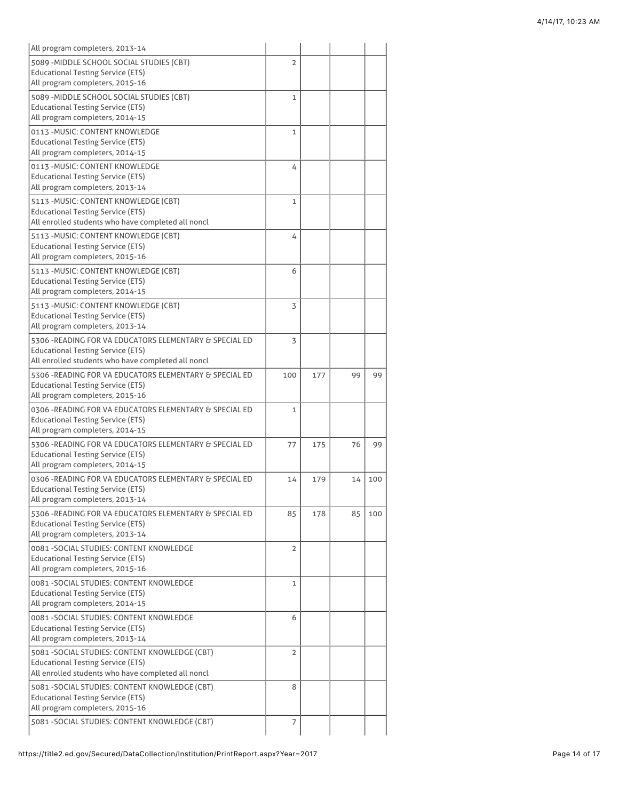| All program completers, 2013-14                                                                     |                |     |    |     |
|-----------------------------------------------------------------------------------------------------|----------------|-----|----|-----|
| 5089 - MIDDLE SCHOOL SOCIAL STUDIES (CBT)                                                           | $\overline{2}$ |     |    |     |
| <b>Educational Testing Service (ETS)</b>                                                            |                |     |    |     |
| All program completers, 2015-16                                                                     |                |     |    |     |
| 5089 - MIDDLE SCHOOL SOCIAL STUDIES (CBT)<br><b>Educational Testing Service (ETS)</b>               | 1              |     |    |     |
| All program completers, 2014-15                                                                     |                |     |    |     |
| 0113 - MUSIC: CONTENT KNOWLEDGE                                                                     | $\mathbf{1}$   |     |    |     |
| <b>Educational Testing Service (ETS)</b>                                                            |                |     |    |     |
| All program completers, 2014-15                                                                     |                |     |    |     |
| 0113 - MUSIC: CONTENT KNOWLEDGE                                                                     | 4              |     |    |     |
| <b>Educational Testing Service (ETS)</b><br>All program completers, 2013-14                         |                |     |    |     |
|                                                                                                     |                |     |    |     |
| 5113 - MUSIC: CONTENT KNOWLEDGE (CBT)<br><b>Educational Testing Service (ETS)</b>                   | $\mathbf{1}$   |     |    |     |
| All enrolled students who have completed all noncl                                                  |                |     |    |     |
| 5113 - MUSIC: CONTENT KNOWLEDGE (CBT)                                                               | 4              |     |    |     |
| <b>Educational Testing Service (ETS)</b>                                                            |                |     |    |     |
| All program completers, 2015-16                                                                     |                |     |    |     |
| 5113 - MUSIC: CONTENT KNOWLEDGE (CBT)                                                               | 6              |     |    |     |
| <b>Educational Testing Service (ETS)</b>                                                            |                |     |    |     |
| All program completers, 2014-15                                                                     |                |     |    |     |
| 5113 - MUSIC: CONTENT KNOWLEDGE (CBT)                                                               | 3              |     |    |     |
| <b>Educational Testing Service (ETS)</b>                                                            |                |     |    |     |
| All program completers, 2013-14                                                                     |                |     |    |     |
| 5306 - READING FOR VA EDUCATORS ELEMENTARY & SPECIAL ED                                             | 3              |     |    |     |
| <b>Educational Testing Service (ETS)</b><br>All enrolled students who have completed all noncl      |                |     |    |     |
|                                                                                                     |                |     |    |     |
| 5306 - READING FOR VA EDUCATORS ELEMENTARY & SPECIAL ED<br><b>Educational Testing Service (ETS)</b> | 100            | 177 | 99 | 99  |
| All program completers, 2015-16                                                                     |                |     |    |     |
| 0306 - READING FOR VA EDUCATORS ELEMENTARY & SPECIAL ED                                             | 1              |     |    |     |
| <b>Educational Testing Service (ETS)</b>                                                            |                |     |    |     |
| All program completers, 2014-15                                                                     |                |     |    |     |
| 5306 - READING FOR VA EDUCATORS ELEMENTARY & SPECIAL ED                                             | 77             | 175 | 76 | 99  |
| <b>Educational Testing Service (ETS)</b>                                                            |                |     |    |     |
| All program completers, 2014-15                                                                     |                |     |    |     |
| 0306 - READING FOR VA EDUCATORS ELEMENTARY & SPECIAL ED                                             | 14             | 179 | 14 | 100 |
| <b>Educational Testing Service (ETS)</b><br>All program completers, 2013-14                         |                |     |    |     |
|                                                                                                     |                |     |    |     |
| 5306 - READING FOR VA EDUCATORS ELEMENTARY & SPECIAL ED<br><b>Educational Testing Service (ETS)</b> | 85             | 178 | 85 | 100 |
| All program completers, 2013-14                                                                     |                |     |    |     |
| 0081 - SOCIAL STUDIES: CONTENT KNOWLEDGE                                                            | 2              |     |    |     |
| <b>Educational Testing Service (ETS)</b>                                                            |                |     |    |     |
| All program completers, 2015-16                                                                     |                |     |    |     |
| 0081 - SOCIAL STUDIES: CONTENT KNOWLEDGE                                                            | 1              |     |    |     |
| <b>Educational Testing Service (ETS)</b>                                                            |                |     |    |     |
| All program completers, 2014-15                                                                     |                |     |    |     |
| 0081 - SOCIAL STUDIES: CONTENT KNOWLEDGE                                                            | 6              |     |    |     |
| <b>Educational Testing Service (ETS)</b>                                                            |                |     |    |     |
| All program completers, 2013-14                                                                     |                |     |    |     |
| 5081 - SOCIAL STUDIES: CONTENT KNOWLEDGE (CBT)                                                      | $\overline{2}$ |     |    |     |
| <b>Educational Testing Service (ETS)</b><br>All enrolled students who have completed all noncl      |                |     |    |     |
| 5081 - SOCIAL STUDIES: CONTENT KNOWLEDGE (CBT)                                                      | 8              |     |    |     |
| <b>Educational Testing Service (ETS)</b>                                                            |                |     |    |     |
| All program completers, 2015-16                                                                     |                |     |    |     |
| 5081 - SOCIAL STUDIES: CONTENT KNOWLEDGE (CBT)                                                      | 7              |     |    |     |
|                                                                                                     |                |     |    |     |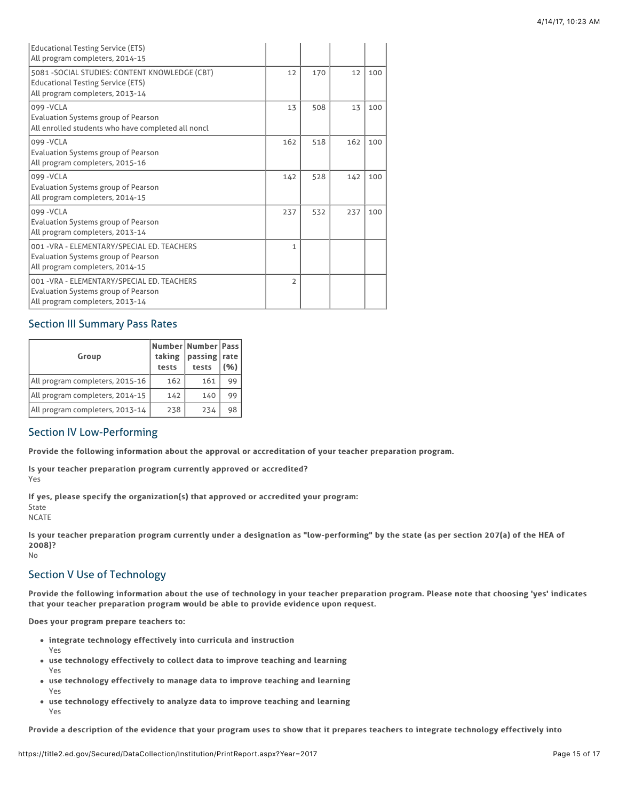| <b>Educational Testing Service (ETS)</b><br>All program completers, 2014-15                                                   |                |     |     |     |
|-------------------------------------------------------------------------------------------------------------------------------|----------------|-----|-----|-----|
| 5081 - SOCIAL STUDIES: CONTENT KNOWLEDGE (CBT)<br><b>Educational Testing Service (ETS)</b><br>All program completers, 2013-14 | 12             | 170 | 12  | 100 |
| 099 - VCLA<br>Evaluation Systems group of Pearson<br>All enrolled students who have completed all noncl                       | 13             | 508 | 13  | 100 |
| 099 - VCLA<br>Evaluation Systems group of Pearson<br>All program completers, 2015-16                                          | 162            | 518 | 162 | 100 |
| 099 - VCLA<br><b>Evaluation Systems group of Pearson</b><br>All program completers, 2014-15                                   | 142            | 528 | 142 | 100 |
| 099 - VCLA<br><b>Evaluation Systems group of Pearson</b><br>All program completers, 2013-14                                   | 237            | 532 | 237 | 100 |
| 001 - VRA - FI FMFNTARY/SPFCIAL FD. TFACHFRS<br><b>Evaluation Systems group of Pearson</b><br>All program completers, 2014-15 | 1              |     |     |     |
| 001 - VRA - ELEMENTARY/SPECIAL ED. TEACHERS<br><b>Evaluation Systems group of Pearson</b><br>All program completers, 2013-14  | $\overline{2}$ |     |     |     |

# Section III Summary Pass Rates

| Group                           | taking<br>tests | Number   Number   Pass  <br>passing<br>tests | rate<br>(%) |
|---------------------------------|-----------------|----------------------------------------------|-------------|
| All program completers, 2015-16 | 162             | 161                                          | 99          |
| All program completers, 2014-15 | 142             | 140                                          | 99          |
| All program completers, 2013-14 | 238             | 234                                          | 98          |

## Section IV Low-Performing

Provide the following information about the approval or accreditation of your teacher preparation program.

Is your teacher preparation program currently approved or accredited? Yes

Yes

If yes, please specify the organization(s) that approved or accredited your program:

State NCATE

Is your teacher preparation program currently under a designation as "low-performing" by the state (as per section 207(a) of the HEA of 2008)? No

# Section V Use of Technology

Provide the following information about the use of technology in your teacher preparation program. Please note that choosing 'yes' indicates that your teacher preparation program would be able to provide evidence upon request.

Does your program prepare teachers to:

- integrate technology effectively into curricula and instruction
- use technology effectively to collect data to improve teaching and learning
- Yes • use technology effectively to manage data to improve teaching and learning Yes
- use technology effectively to analyze data to improve teaching and learning Yes

Provide a description of the evidence that your program uses to show that it prepares teachers to integrate technology effectively into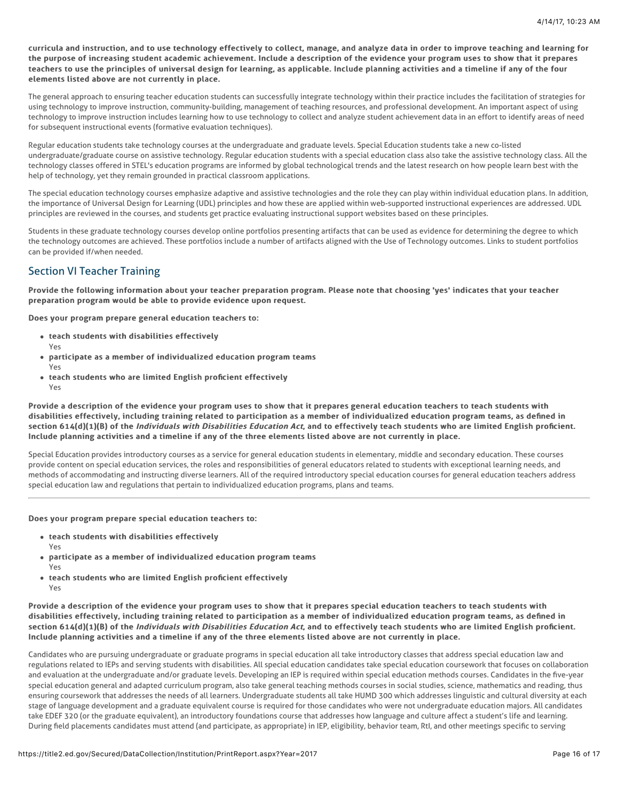curricula and instruction, and to use technology effectively to collect, manage, and analyze data in order to improve teaching and learning for the purpose of increasing student academic achievement. Include a description of the evidence your program uses to show that it prepares teachers to use the principles of universal design for learning, as applicable. Include planning activities and a timeline if any of the four elements listed above are not currently in place.

The general approach to ensuring teacher education students can successfully integrate technology within their practice includes the facilitation of strategies for using technology to improve instruction, community-building, management of teaching resources, and professional development. An important aspect of using technology to improve instruction includes learning how to use technology to collect and analyze student achievement data in an effort to identify areas of need for subsequent instructional events (formative evaluation techniques).

Regular education students take technology courses at the undergraduate and graduate levels. Special Education students take a new co-listed undergraduate/graduate course on assistive technology. Regular education students with a special education class also take the assistive technology class. All the technology classes offered in STEL's education programs are informed by global technological trends and the latest research on how people learn best with the help of technology, yet they remain grounded in practical classroom applications.

The special education technology courses emphasize adaptive and assistive technologies and the role they can play within individual education plans. In addition, the importance of Universal Design for Learning (UDL) principles and how these are applied within web-supported instructional experiences are addressed. UDL principles are reviewed in the courses, and students get practice evaluating instructional support websites based on these principles.

Students in these graduate technology courses develop online portfolios presenting artifacts that can be used as evidence for determining the degree to which the technology outcomes are achieved. These portfolios include a number of artifacts aligned with the Use of Technology outcomes. Links to student portfolios can be provided if/when needed.

# Section VI Teacher Training

Provide the following information about your teacher preparation program. Please note that choosing 'yes' indicates that your teacher preparation program would be able to provide evidence upon request.

Does your program prepare general education teachers to:

- teach students with disabilities effectively
- participate as a member of individualized education program teams Yes
- teach students who are limited English proficient effectively Yes

Provide a description of the evidence your program uses to show that it prepares general education teachers to teach students with disabilities effectively, including training related to participation as a member of individualized education program teams, as defined in section 614(d)(1)(B) of the *Individuals with Disabilities Education Act*, and to effectively teach students who are limited English proficient. Include planning activities and a timeline if any of the three elements listed above are not currently in place.

Special Education provides introductory courses as a service for general education students in elementary, middle and secondary education. These courses provide content on special education services, the roles and responsibilities of general educators related to students with exceptional learning needs, and methods of accommodating and instructing diverse learners. All of the required introductory special education courses for general education teachers address special education law and regulations that pertain to individualized education programs, plans and teams.

### Does your program prepare special education teachers to:

- $\bullet$  teach students with disabilities effectively
	- Yes

Yes

- participate as a member of individualized education program teams Yes
- teach students who are limited English proficient effectively Yes

Provide a description of the evidence your program uses to show that it prepares special education teachers to teach students with disabilities effectively, including training related to participation as a member of individualized education program teams, as defined in section 614(d)(1)(B) of the *Individuals with Disabilities Education Act*, and to effectively teach students who are limited English proficient. Include planning activities and a timeline if any of the three elements listed above are not currently in place.

Candidates who are pursuing undergraduate or graduate programs in special education all take introductory classes that address special education law and regulations related to IEPs and serving students with disabilities. All special education candidates take special education coursework that focuses on collaboration and evaluation at the undergraduate and/or graduate levels. Developing an IEP is required within special education methods courses. Candidates in the five-year special education general and adapted curriculum program, also take general teaching methods courses in social studies, science, mathematics and reading, thus ensuring coursework that addresses the needs of all learners. Undergraduate students all take HUMD 300 which addresses linguistic and cultural diversity at each stage of language development and a graduate equivalent course is required for those candidates who were not undergraduate education majors. All candidates take EDEF 320 (or the graduate equivalent), an introductory foundations course that addresses how language and culture affect a student's life and learning. During field placements candidates must attend (and participate, as appropriate) in IEP, eligibility, behavior team, RtI, and other meetings specific to serving